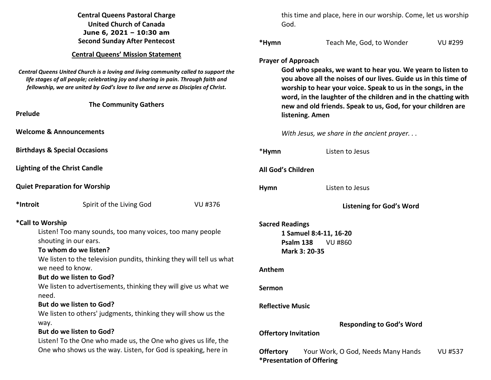| <b>Central Queens Pastoral Charge</b>                                                                                                                                                                                                                         |                                               | this time and place, here in our worship. Come, let us worship                                                                                                                                                                                                  |                |  |
|---------------------------------------------------------------------------------------------------------------------------------------------------------------------------------------------------------------------------------------------------------------|-----------------------------------------------|-----------------------------------------------------------------------------------------------------------------------------------------------------------------------------------------------------------------------------------------------------------------|----------------|--|
| <b>United Church of Canada</b>                                                                                                                                                                                                                                | God.                                          |                                                                                                                                                                                                                                                                 |                |  |
| June 6, 2021 - 10:30 am                                                                                                                                                                                                                                       |                                               |                                                                                                                                                                                                                                                                 |                |  |
| <b>Second Sunday After Pentecost</b>                                                                                                                                                                                                                          | *Hymn                                         | Teach Me, God, to Wonder                                                                                                                                                                                                                                        | VU #299        |  |
| <b>Central Queens' Mission Statement</b>                                                                                                                                                                                                                      |                                               |                                                                                                                                                                                                                                                                 |                |  |
|                                                                                                                                                                                                                                                               | <b>Prayer of Approach</b>                     |                                                                                                                                                                                                                                                                 |                |  |
| Central Queens United Church is a loving and living community called to support the<br>life stages of all people; celebrating joy and sharing in pain. Through faith and<br>fellowship, we are united by God's love to live and serve as Disciples of Christ. |                                               | God who speaks, we want to hear you. We yearn to listen to<br>you above all the noises of our lives. Guide us in this time of<br>worship to hear your voice. Speak to us in the songs, in the<br>word, in the laughter of the children and in the chatting with |                |  |
| <b>The Community Gathers</b>                                                                                                                                                                                                                                  |                                               | new and old friends. Speak to us, God, for your children are                                                                                                                                                                                                    |                |  |
| Prelude                                                                                                                                                                                                                                                       | listening. Amen                               |                                                                                                                                                                                                                                                                 |                |  |
| <b>Welcome &amp; Announcements</b>                                                                                                                                                                                                                            |                                               | With Jesus, we share in the ancient prayer                                                                                                                                                                                                                      |                |  |
| <b>Birthdays &amp; Special Occasions</b>                                                                                                                                                                                                                      | *Hymn                                         | Listen to Jesus                                                                                                                                                                                                                                                 |                |  |
| <b>Lighting of the Christ Candle</b>                                                                                                                                                                                                                          | All God's Children                            |                                                                                                                                                                                                                                                                 |                |  |
| <b>Quiet Preparation for Worship</b>                                                                                                                                                                                                                          | <b>Hymn</b>                                   | Listen to Jesus                                                                                                                                                                                                                                                 |                |  |
| *Introit<br>Spirit of the Living God<br>VU #376                                                                                                                                                                                                               |                                               | <b>Listening for God's Word</b>                                                                                                                                                                                                                                 |                |  |
| *Call to Worship                                                                                                                                                                                                                                              | <b>Sacred Readings</b>                        |                                                                                                                                                                                                                                                                 |                |  |
| Listen! Too many sounds, too many voices, too many people                                                                                                                                                                                                     |                                               | 1 Samuel 8:4-11, 16-20                                                                                                                                                                                                                                          |                |  |
| shouting in our ears.                                                                                                                                                                                                                                         | Psalm 138                                     | VU #860                                                                                                                                                                                                                                                         |                |  |
| To whom do we listen?                                                                                                                                                                                                                                         | Mark 3: 20-35                                 |                                                                                                                                                                                                                                                                 |                |  |
| We listen to the television pundits, thinking they will tell us what                                                                                                                                                                                          |                                               |                                                                                                                                                                                                                                                                 |                |  |
| we need to know.                                                                                                                                                                                                                                              | Anthem                                        |                                                                                                                                                                                                                                                                 |                |  |
| But do we listen to God?                                                                                                                                                                                                                                      |                                               |                                                                                                                                                                                                                                                                 |                |  |
| We listen to advertisements, thinking they will give us what we<br>need.                                                                                                                                                                                      | Sermon                                        |                                                                                                                                                                                                                                                                 |                |  |
| But do we listen to God?                                                                                                                                                                                                                                      | <b>Reflective Music</b>                       |                                                                                                                                                                                                                                                                 |                |  |
| We listen to others' judgments, thinking they will show us the                                                                                                                                                                                                |                                               |                                                                                                                                                                                                                                                                 |                |  |
| way.                                                                                                                                                                                                                                                          |                                               | <b>Responding to God's Word</b>                                                                                                                                                                                                                                 |                |  |
| But do we listen to God?                                                                                                                                                                                                                                      | <b>Offertory Invitation</b>                   |                                                                                                                                                                                                                                                                 |                |  |
| Listen! To the One who made us, the One who gives us life, the                                                                                                                                                                                                |                                               |                                                                                                                                                                                                                                                                 |                |  |
| One who shows us the way. Listen, for God is speaking, here in                                                                                                                                                                                                | <b>Offertory</b><br>*Presentation of Offering | Your Work, O God, Needs Many Hands                                                                                                                                                                                                                              | <b>VU #537</b> |  |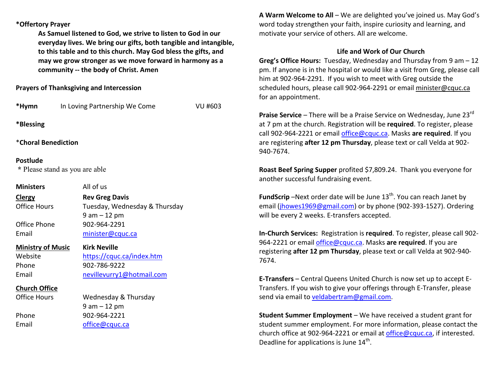## **\*Offertory Prayer**

**As Samuel listened to God, we strive to listen to God in our everyday lives. We bring our gifts, both tangible and intangible, to this table and to this church. May God bless the gifts, and may we grow stronger as we move forward in harmony as a community -- the body of Christ. Amen**

**Prayers of Thanksgiving and Intercession** 

|                          | *Hymn In Loving Partnership We Come | <b>VU #603</b> |
|--------------------------|-------------------------------------|----------------|
| *Blessing                |                                     |                |
| *Choral Benediction      |                                     |                |
| Postlude                 | * Please stand as you are able      |                |
| <b>Ministers</b>         | All of us                           |                |
| <b>Clergy</b>            | <b>Rev Greg Davis</b>               |                |
| <b>Office Hours</b>      | Tuesday, Wednesday & Thursday       |                |
|                          | $9$ am $-12$ pm                     |                |
| Office Phone             | 902-964-2291                        |                |
| Email                    | minister@cquc.ca                    |                |
| <b>Ministry of Music</b> | <b>Kirk Neville</b>                 |                |
| Website                  | https://cquc.ca/index.htm           |                |
| Phone                    | 902-786-9222                        |                |
| Email                    | nevillevurry1@hotmail.com           |                |
| <u>Church Office</u>     |                                     |                |
| <b>Office Hours</b>      | Wednesday & Thursday                |                |
|                          | $9 am - 12 pm$                      |                |
| Phone                    | 902-964-2221                        |                |
| Email                    | office@cquc.ca                      |                |
|                          |                                     |                |

**A Warm Welcome to All** – We are delighted you've joined us. May God's word today strengthen your faith, inspire curiosity and learning, and motivate your service of others. All are welcome.

## **Life and Work of Our Church**

 **Greg's Office Hours:** Tuesday, Wednesday and Thursday from 9 am – 12 pm. If anyone is in the hospital or would like a visit from Greg, please call him at 902-964-2291. If you wish to meet with Greg outside the scheduled hours, please call 902-964-2291 or email minister@cquc.ca for an appointment.

**Praise Service** – There will be a Praise Service on Wednesday, June 23<sup>rd</sup> at 7 pm at the church. Registration will be **required**. To register, please call 902-964-2221 or email office@cquc.ca. Masks **are required**. If you are registering **after 12 pm Thursday**, please text or call Velda at 902- 940-7674.

**Roast Beef Spring Supper** profited \$7,809.24. Thank you everyone for another successful fundraising event.

**FundScrip** –Next order date will be June 13<sup>th</sup>. You can reach Janet by email (jhowes1969@gmail.com) or by phone (902-393-1527). Ordering will be every 2 weeks. E-transfers accepted.

**In-Church Services:** Registration is **required**. To register, please call 902-964-2221 or email office@cquc.ca. Masks **are required**. If you are registering **after 12 pm Thursday**, please text or call Velda at 902-940- 7674.

**E-Transfers** – Central Queens United Church is now set up to accept E-Transfers. If you wish to give your offerings through E-Transfer, please send via email to veldabertram@gmail.com.

**Student Summer Employment** – We have received a student grant for student summer employment. For more information, please contact the church office at 902-964-2221 or email at office@cquc.ca, if interested. Deadline for applications is June  $14<sup>th</sup>$ .